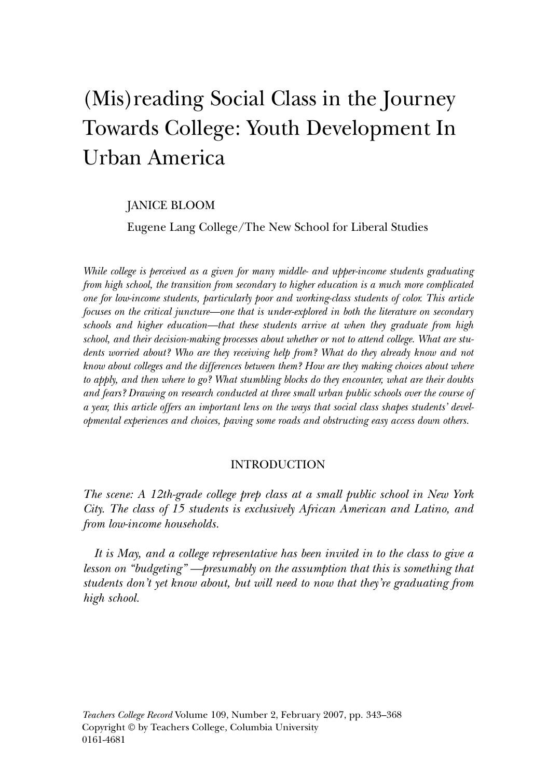# (Mis)reading Social Class in the Journey Towards College: Youth Development In Urban America

# JANICE BLOOM

Eugene Lang College/The New School for Liberal Studies

*While college is perceived as a given for many middle- and upper-income students graduating from high school, the transition from secondary to higher education is a much more complicated one for low-income students, particularly poor and working-class students of color. This article focuses on the critical juncture—one that is under-explored in both the literature on secondary schools and higher education—that these students arrive at when they graduate from high school, and their decision-making processes about whether or not to attend college. What are students worried about? Who are they receiving help from? What do they already know and not know about colleges and the differences between them? How are they making choices about where to apply, and then where to go? What stumbling blocks do they encounter, what are their doubts and fears? Drawing on research conducted at three small urban public schools over the course of a year, this article offers an important lens on the ways that social class shapes students' developmental experiences and choices, paving some roads and obstructing easy access down others.*

## INTRODUCTION

*The scene: A 12th-grade college prep class at a small public school in New York City. The class of 15 students is exclusively African American and Latino, and from low-income households.*

*It is May, and a college representative has been invited in to the class to give a lesson on "budgeting" —presumably on the assumption that this is something that students don't yet know about, but will need to now that they're graduating from high school.*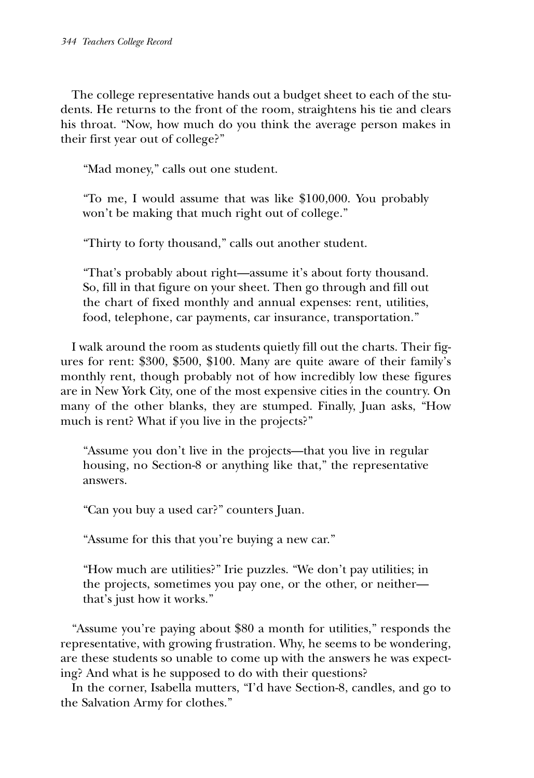The college representative hands out a budget sheet to each of the students. He returns to the front of the room, straightens his tie and clears his throat. "Now, how much do you think the average person makes in their first year out of college?"

"Mad money," calls out one student.

"To me, I would assume that was like \$100,000. You probably won't be making that much right out of college."

"Thirty to forty thousand," calls out another student.

"That's probably about right—assume it's about forty thousand. So, fill in that figure on your sheet. Then go through and fill out the chart of fixed monthly and annual expenses: rent, utilities, food, telephone, car payments, car insurance, transportation."

I walk around the room as students quietly fill out the charts. Their figures for rent: \$300, \$500, \$100. Many are quite aware of their family's monthly rent, though probably not of how incredibly low these figures are in New York City, one of the most expensive cities in the country. On many of the other blanks, they are stumped. Finally, Juan asks, "How much is rent? What if you live in the projects?"

"Assume you don't live in the projects—that you live in regular housing, no Section-8 or anything like that," the representative answers.

"Can you buy a used car?" counters Juan.

"Assume for this that you're buying a new car."

"How much are utilities?" Irie puzzles. "We don't pay utilities; in the projects, sometimes you pay one, or the other, or neither that's just how it works."

"Assume you're paying about \$80 a month for utilities," responds the representative, with growing frustration. Why, he seems to be wondering, are these students so unable to come up with the answers he was expecting? And what is he supposed to do with their questions?

In the corner, Isabella mutters, "I'd have Section-8, candles, and go to the Salvation Army for clothes."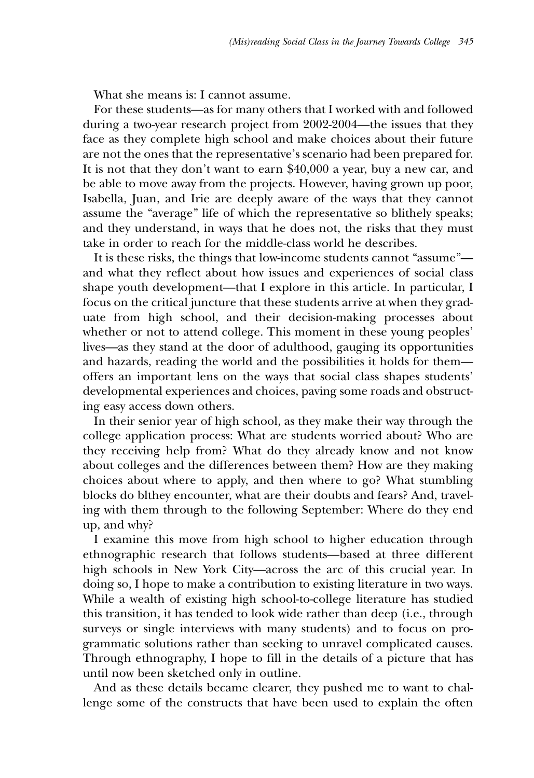What she means is: I cannot assume.

For these students—as for many others that I worked with and followed during a two-year research project from 2002-2004—the issues that they face as they complete high school and make choices about their future are not the ones that the representative's scenario had been prepared for. It is not that they don't want to earn \$40,000 a year, buy a new car, and be able to move away from the projects. However, having grown up poor, Isabella, Juan, and Irie are deeply aware of the ways that they cannot assume the "average" life of which the representative so blithely speaks; and they understand, in ways that he does not, the risks that they must take in order to reach for the middle-class world he describes.

It is these risks, the things that low-income students cannot "assume" and what they reflect about how issues and experiences of social class shape youth development—that I explore in this article. In particular, I focus on the critical juncture that these students arrive at when they graduate from high school, and their decision-making processes about whether or not to attend college. This moment in these young peoples' lives—as they stand at the door of adulthood, gauging its opportunities and hazards, reading the world and the possibilities it holds for them offers an important lens on the ways that social class shapes students' developmental experiences and choices, paving some roads and obstructing easy access down others.

In their senior year of high school, as they make their way through the college application process: What are students worried about? Who are they receiving help from? What do they already know and not know about colleges and the differences between them? How are they making choices about where to apply, and then where to go? What stumbling blocks do blthey encounter, what are their doubts and fears? And, traveling with them through to the following September: Where do they end up, and why?

I examine this move from high school to higher education through ethnographic research that follows students—based at three different high schools in New York City—across the arc of this crucial year. In doing so, I hope to make a contribution to existing literature in two ways. While a wealth of existing high school-to-college literature has studied this transition, it has tended to look wide rather than deep (i.e., through surveys or single interviews with many students) and to focus on programmatic solutions rather than seeking to unravel complicated causes. Through ethnography, I hope to fill in the details of a picture that has until now been sketched only in outline.

And as these details became clearer, they pushed me to want to challenge some of the constructs that have been used to explain the often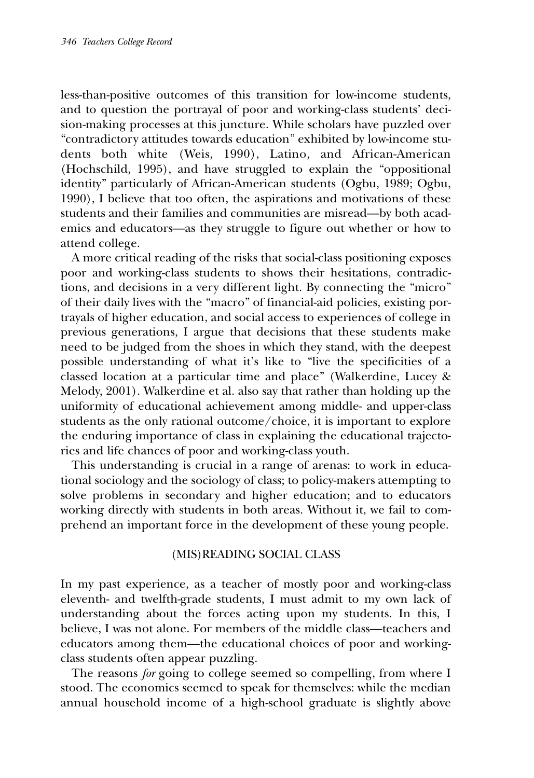less-than-positive outcomes of this transition for low-income students, and to question the portrayal of poor and working-class students' decision-making processes at this juncture. While scholars have puzzled over "contradictory attitudes towards education" exhibited by low-income students both white (Weis, 1990), Latino, and African-American (Hochschild, 1995), and have struggled to explain the "oppositional identity" particularly of African-American students (Ogbu, 1989; Ogbu, 1990), I believe that too often, the aspirations and motivations of these students and their families and communities are misread—by both academics and educators—as they struggle to figure out whether or how to attend college.

A more critical reading of the risks that social-class positioning exposes poor and working-class students to shows their hesitations, contradictions, and decisions in a very different light. By connecting the "micro" of their daily lives with the "macro" of financial-aid policies, existing portrayals of higher education, and social access to experiences of college in previous generations, I argue that decisions that these students make need to be judged from the shoes in which they stand, with the deepest possible understanding of what it's like to "live the specificities of a classed location at a particular time and place" (Walkerdine, Lucey & Melody, 2001). Walkerdine et al. also say that rather than holding up the uniformity of educational achievement among middle- and upper-class students as the only rational outcome/choice, it is important to explore the enduring importance of class in explaining the educational trajectories and life chances of poor and working-class youth.

This understanding is crucial in a range of arenas: to work in educational sociology and the sociology of class; to policy-makers attempting to solve problems in secondary and higher education; and to educators working directly with students in both areas. Without it, we fail to comprehend an important force in the development of these young people.

## (MIS)READING SOCIAL CLASS

In my past experience, as a teacher of mostly poor and working-class eleventh- and twelfth-grade students, I must admit to my own lack of understanding about the forces acting upon my students. In this, I believe, I was not alone. For members of the middle class—teachers and educators among them—the educational choices of poor and workingclass students often appear puzzling.

The reasons *for* going to college seemed so compelling, from where I stood. The economics seemed to speak for themselves: while the median annual household income of a high-school graduate is slightly above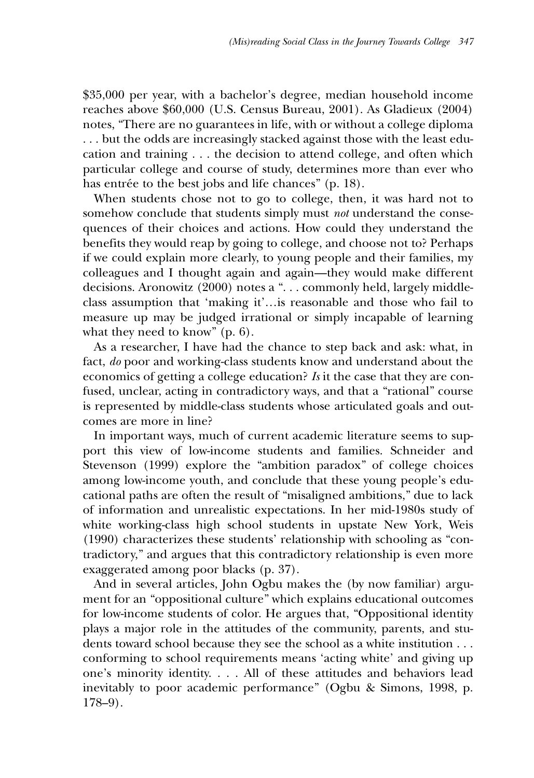\$35,000 per year, with a bachelor's degree, median household income reaches above \$60,000 (U.S. Census Bureau, 2001). As Gladieux (2004) notes, "There are no guarantees in life, with or without a college diploma . . . but the odds are increasingly stacked against those with the least education and training . . . the decision to attend college, and often which particular college and course of study, determines more than ever who has entrée to the best jobs and life chances" (p. 18).

When students chose not to go to college, then, it was hard not to somehow conclude that students simply must *not* understand the consequences of their choices and actions. How could they understand the benefits they would reap by going to college, and choose not to? Perhaps if we could explain more clearly, to young people and their families, my colleagues and I thought again and again—they would make different decisions. Aronowitz (2000) notes a ". . . commonly held, largely middleclass assumption that 'making it'…is reasonable and those who fail to measure up may be judged irrational or simply incapable of learning what they need to know" (p. 6).

As a researcher, I have had the chance to step back and ask: what, in fact, *do* poor and working-class students know and understand about the economics of getting a college education? *Is* it the case that they are confused, unclear, acting in contradictory ways, and that a "rational" course is represented by middle-class students whose articulated goals and outcomes are more in line?

In important ways, much of current academic literature seems to support this view of low-income students and families. Schneider and Stevenson (1999) explore the "ambition paradox" of college choices among low-income youth, and conclude that these young people's educational paths are often the result of "misaligned ambitions," due to lack of information and unrealistic expectations. In her mid-1980s study of white working-class high school students in upstate New York, Weis (1990) characterizes these students' relationship with schooling as "contradictory," and argues that this contradictory relationship is even more exaggerated among poor blacks (p. 37).

And in several articles, John Ogbu makes the (by now familiar) argument for an "oppositional culture" which explains educational outcomes for low-income students of color. He argues that, "Oppositional identity plays a major role in the attitudes of the community, parents, and students toward school because they see the school as a white institution . . . conforming to school requirements means 'acting white' and giving up one's minority identity. . . . All of these attitudes and behaviors lead inevitably to poor academic performance" (Ogbu & Simons, 1998, p. 178–9).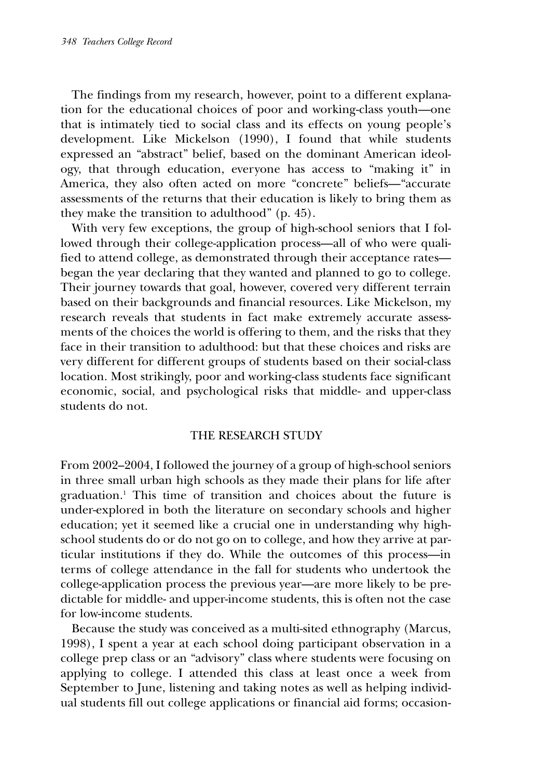The findings from my research, however, point to a different explanation for the educational choices of poor and working-class youth—one that is intimately tied to social class and its effects on young people's development. Like Mickelson (1990), I found that while students expressed an "abstract" belief, based on the dominant American ideology, that through education, everyone has access to "making it" in America, they also often acted on more "concrete" beliefs—"accurate assessments of the returns that their education is likely to bring them as they make the transition to adulthood" (p. 45).

With very few exceptions, the group of high-school seniors that I followed through their college-application process—all of who were qualified to attend college, as demonstrated through their acceptance rates began the year declaring that they wanted and planned to go to college. Their journey towards that goal, however, covered very different terrain based on their backgrounds and financial resources. Like Mickelson, my research reveals that students in fact make extremely accurate assessments of the choices the world is offering to them, and the risks that they face in their transition to adulthood: but that these choices and risks are very different for different groups of students based on their social-class location. Most strikingly, poor and working-class students face significant economic, social, and psychological risks that middle- and upper-class students do not.

## THE RESEARCH STUDY

From 2002–2004, I followed the journey of a group of high-school seniors in three small urban high schools as they made their plans for life after graduation.1 This time of transition and choices about the future is under-explored in both the literature on secondary schools and higher education; yet it seemed like a crucial one in understanding why highschool students do or do not go on to college, and how they arrive at particular institutions if they do. While the outcomes of this process—in terms of college attendance in the fall for students who undertook the college-application process the previous year—are more likely to be predictable for middle- and upper-income students, this is often not the case for low-income students.

Because the study was conceived as a multi-sited ethnography (Marcus, 1998), I spent a year at each school doing participant observation in a college prep class or an "advisory" class where students were focusing on applying to college. I attended this class at least once a week from September to June, listening and taking notes as well as helping individual students fill out college applications or financial aid forms; occasion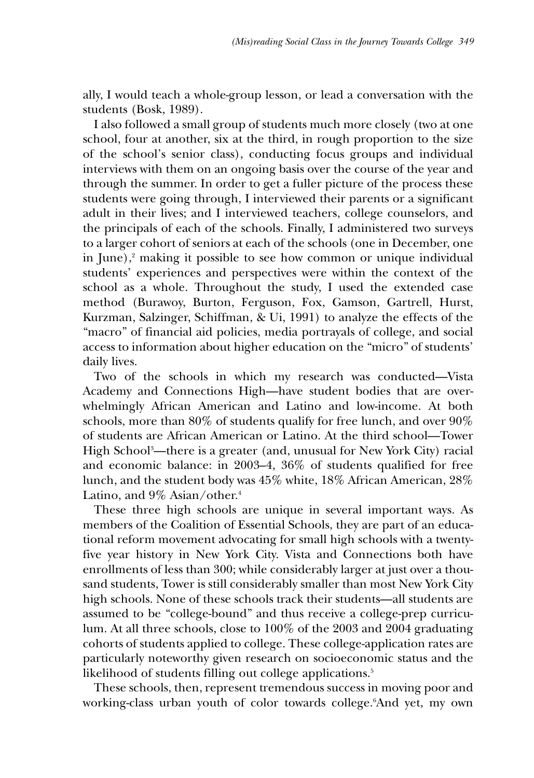ally, I would teach a whole-group lesson, or lead a conversation with the students (Bosk, 1989).

I also followed a small group of students much more closely (two at one school, four at another, six at the third, in rough proportion to the size of the school's senior class), conducting focus groups and individual interviews with them on an ongoing basis over the course of the year and through the summer. In order to get a fuller picture of the process these students were going through, I interviewed their parents or a significant adult in their lives; and I interviewed teachers, college counselors, and the principals of each of the schools. Finally, I administered two surveys to a larger cohort of seniors at each of the schools (one in December, one in June), $\alpha$  making it possible to see how common or unique individual students' experiences and perspectives were within the context of the school as a whole. Throughout the study, I used the extended case method (Burawoy, Burton, Ferguson, Fox, Gamson, Gartrell, Hurst, Kurzman, Salzinger, Schiffman, & Ui, 1991) to analyze the effects of the "macro" of financial aid policies, media portrayals of college, and social access to information about higher education on the "micro" of students' daily lives.

Two of the schools in which my research was conducted—Vista Academy and Connections High—have student bodies that are overwhelmingly African American and Latino and low-income. At both schools, more than 80% of students qualify for free lunch, and over 90% of students are African American or Latino. At the third school—Tower High School3 —there is a greater (and, unusual for New York City) racial and economic balance: in 2003–4, 36% of students qualified for free lunch, and the student body was 45% white, 18% African American, 28% Latino, and 9% Asian/other.<sup>4</sup>

These three high schools are unique in several important ways. As members of the Coalition of Essential Schools, they are part of an educational reform movement advocating for small high schools with a twentyfive year history in New York City. Vista and Connections both have enrollments of less than 300; while considerably larger at just over a thousand students, Tower is still considerably smaller than most New York City high schools. None of these schools track their students—all students are assumed to be "college-bound" and thus receive a college-prep curriculum. At all three schools, close to 100% of the 2003 and 2004 graduating cohorts of students applied to college. These college-application rates are particularly noteworthy given research on socioeconomic status and the likelihood of students filling out college applications.<sup>5</sup>

These schools, then, represent tremendous success in moving poor and working-class urban youth of color towards college.6 And yet, my own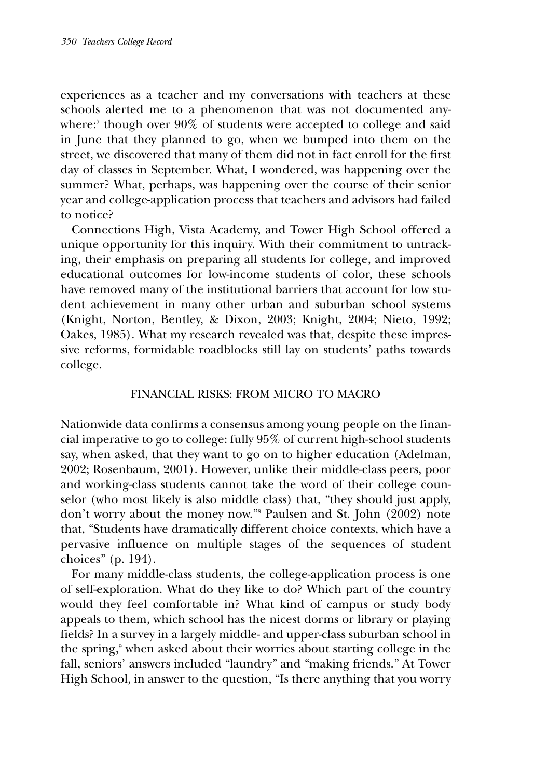experiences as a teacher and my conversations with teachers at these schools alerted me to a phenomenon that was not documented anywhere:<sup>7</sup> though over 90% of students were accepted to college and said in June that they planned to go, when we bumped into them on the street, we discovered that many of them did not in fact enroll for the first day of classes in September. What, I wondered, was happening over the summer? What, perhaps, was happening over the course of their senior year and college-application process that teachers and advisors had failed to notice?

Connections High, Vista Academy, and Tower High School offered a unique opportunity for this inquiry. With their commitment to untracking, their emphasis on preparing all students for college, and improved educational outcomes for low-income students of color, these schools have removed many of the institutional barriers that account for low student achievement in many other urban and suburban school systems (Knight, Norton, Bentley, & Dixon, 2003; Knight, 2004; Nieto, 1992; Oakes, 1985). What my research revealed was that, despite these impressive reforms, formidable roadblocks still lay on students' paths towards college.

## FINANCIAL RISKS: FROM MICRO TO MACRO

Nationwide data confirms a consensus among young people on the financial imperative to go to college: fully 95% of current high-school students say, when asked, that they want to go on to higher education (Adelman, 2002; Rosenbaum, 2001). However, unlike their middle-class peers, poor and working-class students cannot take the word of their college counselor (who most likely is also middle class) that, "they should just apply, don't worry about the money now."8 Paulsen and St. John (2002) note that, "Students have dramatically different choice contexts, which have a pervasive influence on multiple stages of the sequences of student choices" (p. 194).

For many middle-class students, the college-application process is one of self-exploration. What do they like to do? Which part of the country would they feel comfortable in? What kind of campus or study body appeals to them, which school has the nicest dorms or library or playing fields? In a survey in a largely middle- and upper-class suburban school in the spring,<sup>9</sup> when asked about their worries about starting college in the fall, seniors' answers included "laundry" and "making friends." At Tower High School, in answer to the question, "Is there anything that you worry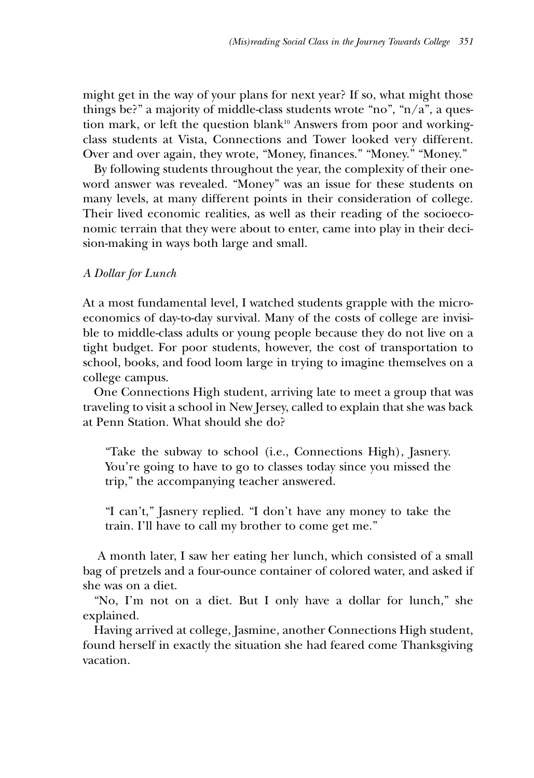might get in the way of your plans for next year? If so, what might those things be?" a majority of middle-class students wrote "no", " $n/a$ ", a question mark, or left the question blank<sup>10</sup> Answers from poor and workingclass students at Vista, Connections and Tower looked very different. Over and over again, they wrote, "Money, finances." "Money." "Money."

By following students throughout the year, the complexity of their oneword answer was revealed. "Money" was an issue for these students on many levels, at many different points in their consideration of college. Their lived economic realities, as well as their reading of the socioeconomic terrain that they were about to enter, came into play in their decision-making in ways both large and small.

## *A Dollar for Lunch*

At a most fundamental level, I watched students grapple with the microeconomics of day-to-day survival. Many of the costs of college are invisible to middle-class adults or young people because they do not live on a tight budget. For poor students, however, the cost of transportation to school, books, and food loom large in trying to imagine themselves on a college campus.

One Connections High student, arriving late to meet a group that was traveling to visit a school in New Jersey, called to explain that she was back at Penn Station. What should she do?

"Take the subway to school (i.e., Connections High), Jasnery. You're going to have to go to classes today since you missed the trip," the accompanying teacher answered.

"I can't," Jasnery replied. "I don't have any money to take the train. I'll have to call my brother to come get me."

A month later, I saw her eating her lunch, which consisted of a small bag of pretzels and a four-ounce container of colored water, and asked if she was on a diet.

"No, I'm not on a diet. But I only have a dollar for lunch," she explained.

Having arrived at college, Jasmine, another Connections High student, found herself in exactly the situation she had feared come Thanksgiving vacation.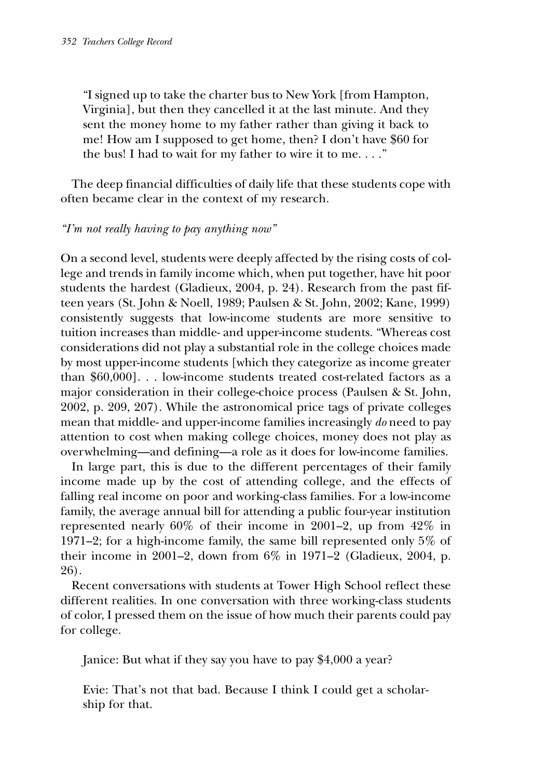"I signed up to take the charter bus to New York [from Hampton, Virginia], but then they cancelled it at the last minute. And they sent the money home to my father rather than giving it back to me! How am I supposed to get home, then? I don't have \$60 for the bus! I had to wait for my father to wire it to me. . . ."

The deep financial difficulties of daily life that these students cope with often became clear in the context of my research.

## *"I'm not really having to pay anything now"*

On a second level, students were deeply affected by the rising costs of college and trends in family income which, when put together, have hit poor students the hardest (Gladieux, 2004, p. 24). Research from the past fifteen years (St. John & Noell, 1989; Paulsen & St. John, 2002; Kane, 1999) consistently suggests that low-income students are more sensitive to tuition increases than middle- and upper-income students. "Whereas cost considerations did not play a substantial role in the college choices made by most upper-income students [which they categorize as income greater than \$60,000]. . . low-income students treated cost-related factors as a major consideration in their college-choice process (Paulsen & St. John, 2002, p. 209, 207). While the astronomical price tags of private colleges mean that middle- and upper-income families increasingly *do* need to pay attention to cost when making college choices, money does not play as overwhelming—and defining—a role as it does for low-income families.

In large part, this is due to the different percentages of their family income made up by the cost of attending college, and the effects of falling real income on poor and working-class families. For a low-income family, the average annual bill for attending a public four-year institution represented nearly 60% of their income in 2001–2, up from 42% in 1971–2; for a high-income family, the same bill represented only 5% of their income in 2001–2, down from 6% in 1971–2 (Gladieux, 2004, p. 26).

Recent conversations with students at Tower High School reflect these different realities. In one conversation with three working-class students of color, I pressed them on the issue of how much their parents could pay for college.

Janice: But what if they say you have to pay \$4,000 a year?

Evie: That's not that bad. Because I think I could get a scholarship for that.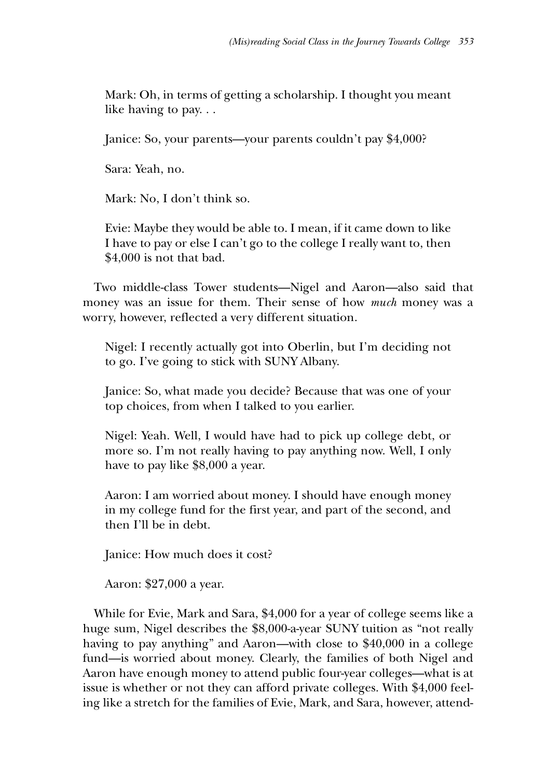Mark: Oh, in terms of getting a scholarship. I thought you meant like having to pay. . .

Janice: So, your parents—your parents couldn't pay \$4,000?

Sara: Yeah, no.

Mark: No, I don't think so.

Evie: Maybe they would be able to. I mean, if it came down to like I have to pay or else I can't go to the college I really want to, then \$4,000 is not that bad.

Two middle-class Tower students—Nigel and Aaron—also said that money was an issue for them. Their sense of how *much* money was a worry, however, reflected a very different situation.

Nigel: I recently actually got into Oberlin, but I'm deciding not to go. I've going to stick with SUNY Albany.

Janice: So, what made you decide? Because that was one of your top choices, from when I talked to you earlier.

Nigel: Yeah. Well, I would have had to pick up college debt, or more so. I'm not really having to pay anything now. Well, I only have to pay like \$8,000 a year.

Aaron: I am worried about money. I should have enough money in my college fund for the first year, and part of the second, and then I'll be in debt.

Janice: How much does it cost?

Aaron: \$27,000 a year.

While for Evie, Mark and Sara, \$4,000 for a year of college seems like a huge sum, Nigel describes the \$8,000-a-year SUNY tuition as "not really having to pay anything" and Aaron—with close to \$40,000 in a college fund—is worried about money. Clearly, the families of both Nigel and Aaron have enough money to attend public four-year colleges—what is at issue is whether or not they can afford private colleges. With \$4,000 feeling like a stretch for the families of Evie, Mark, and Sara, however, attend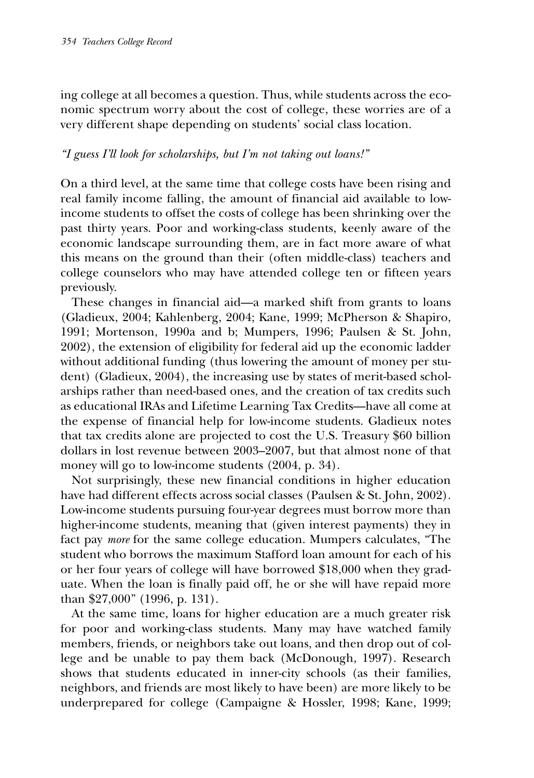ing college at all becomes a question. Thus, while students across the economic spectrum worry about the cost of college, these worries are of a very different shape depending on students' social class location.

## *"I guess I'll look for scholarships, but I'm not taking out loans!"*

On a third level, at the same time that college costs have been rising and real family income falling, the amount of financial aid available to lowincome students to offset the costs of college has been shrinking over the past thirty years. Poor and working-class students, keenly aware of the economic landscape surrounding them, are in fact more aware of what this means on the ground than their (often middle-class) teachers and college counselors who may have attended college ten or fifteen years previously.

These changes in financial aid—a marked shift from grants to loans (Gladieux, 2004; Kahlenberg, 2004; Kane, 1999; McPherson & Shapiro, 1991; Mortenson, 1990a and b; Mumpers, 1996; Paulsen & St. John, 2002), the extension of eligibility for federal aid up the economic ladder without additional funding (thus lowering the amount of money per student) (Gladieux, 2004), the increasing use by states of merit-based scholarships rather than need-based ones, and the creation of tax credits such as educational IRAs and Lifetime Learning Tax Credits—have all come at the expense of financial help for low-income students. Gladieux notes that tax credits alone are projected to cost the U.S. Treasury \$60 billion dollars in lost revenue between 2003–2007, but that almost none of that money will go to low-income students (2004, p. 34).

Not surprisingly, these new financial conditions in higher education have had different effects across social classes (Paulsen & St. John, 2002). Low-income students pursuing four-year degrees must borrow more than higher-income students, meaning that (given interest payments) they in fact pay *more* for the same college education. Mumpers calculates, "The student who borrows the maximum Stafford loan amount for each of his or her four years of college will have borrowed \$18,000 when they graduate. When the loan is finally paid off, he or she will have repaid more than \$27,000" (1996, p. 131).

At the same time, loans for higher education are a much greater risk for poor and working-class students. Many may have watched family members, friends, or neighbors take out loans, and then drop out of college and be unable to pay them back (McDonough, 1997). Research shows that students educated in inner-city schools (as their families, neighbors, and friends are most likely to have been) are more likely to be underprepared for college (Campaigne & Hossler, 1998; Kane, 1999;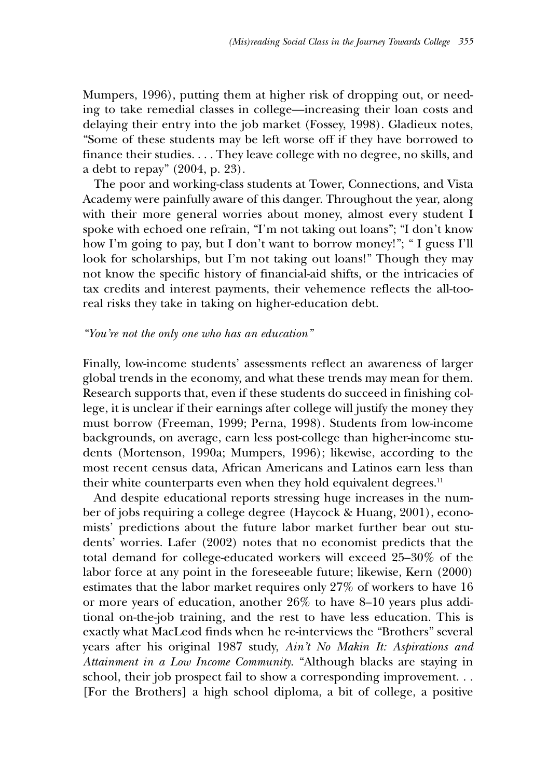Mumpers, 1996), putting them at higher risk of dropping out, or needing to take remedial classes in college—increasing their loan costs and delaying their entry into the job market (Fossey, 1998). Gladieux notes, "Some of these students may be left worse off if they have borrowed to finance their studies. . . . They leave college with no degree, no skills, and a debt to repay" (2004, p. 23).

The poor and working-class students at Tower, Connections, and Vista Academy were painfully aware of this danger. Throughout the year, along with their more general worries about money, almost every student I spoke with echoed one refrain, "I'm not taking out loans"; "I don't know how I'm going to pay, but I don't want to borrow money!"; " I guess I'll look for scholarships, but I'm not taking out loans!" Though they may not know the specific history of financial-aid shifts, or the intricacies of tax credits and interest payments, their vehemence reflects the all-tooreal risks they take in taking on higher-education debt.

#### *"You're not the only one who has an education"*

Finally, low-income students' assessments reflect an awareness of larger global trends in the economy, and what these trends may mean for them. Research supports that, even if these students do succeed in finishing college, it is unclear if their earnings after college will justify the money they must borrow (Freeman, 1999; Perna, 1998). Students from low-income backgrounds, on average, earn less post-college than higher-income students (Mortenson, 1990a; Mumpers, 1996); likewise, according to the most recent census data, African Americans and Latinos earn less than their white counterparts even when they hold equivalent degrees.<sup>11</sup>

And despite educational reports stressing huge increases in the number of jobs requiring a college degree (Haycock & Huang, 2001), economists' predictions about the future labor market further bear out students' worries. Lafer (2002) notes that no economist predicts that the total demand for college-educated workers will exceed 25–30% of the labor force at any point in the foreseeable future; likewise, Kern (2000) estimates that the labor market requires only 27% of workers to have 16 or more years of education, another 26% to have 8–10 years plus additional on-the-job training, and the rest to have less education. This is exactly what MacLeod finds when he re-interviews the "Brothers" several years after his original 1987 study, *Ain't No Makin It: Aspirations and Attainment in a Low Income Community*. "Although blacks are staying in school, their job prospect fail to show a corresponding improvement. . . [For the Brothers] a high school diploma, a bit of college, a positive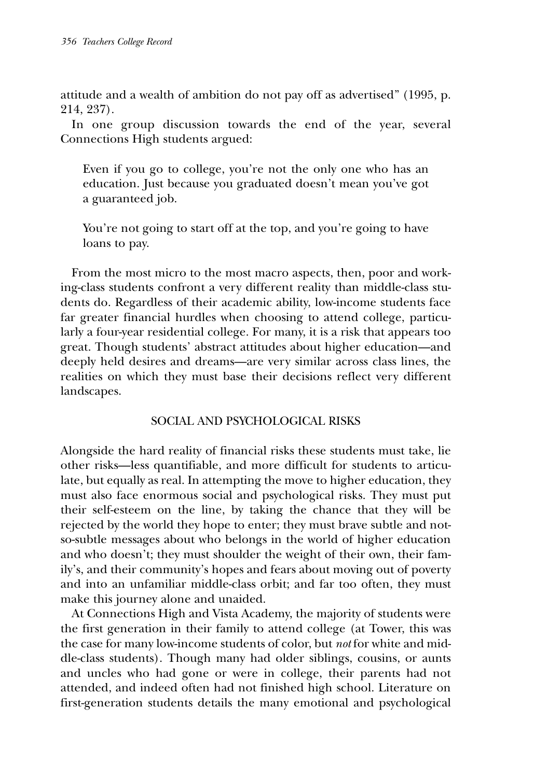attitude and a wealth of ambition do not pay off as advertised" (1995, p. 214, 237).

In one group discussion towards the end of the year, several Connections High students argued:

Even if you go to college, you're not the only one who has an education. Just because you graduated doesn't mean you've got a guaranteed job.

You're not going to start off at the top, and you're going to have loans to pay.

From the most micro to the most macro aspects, then, poor and working-class students confront a very different reality than middle-class students do. Regardless of their academic ability, low-income students face far greater financial hurdles when choosing to attend college, particularly a four-year residential college. For many, it is a risk that appears too great. Though students' abstract attitudes about higher education—and deeply held desires and dreams—are very similar across class lines, the realities on which they must base their decisions reflect very different landscapes.

## SOCIAL AND PSYCHOLOGICAL RISKS

Alongside the hard reality of financial risks these students must take, lie other risks—less quantifiable, and more difficult for students to articulate, but equally as real. In attempting the move to higher education, they must also face enormous social and psychological risks. They must put their self-esteem on the line, by taking the chance that they will be rejected by the world they hope to enter; they must brave subtle and notso-subtle messages about who belongs in the world of higher education and who doesn't; they must shoulder the weight of their own, their family's, and their community's hopes and fears about moving out of poverty and into an unfamiliar middle-class orbit; and far too often, they must make this journey alone and unaided.

At Connections High and Vista Academy, the majority of students were the first generation in their family to attend college (at Tower, this was the case for many low-income students of color, but *not* for white and middle-class students). Though many had older siblings, cousins, or aunts and uncles who had gone or were in college, their parents had not attended, and indeed often had not finished high school. Literature on first-generation students details the many emotional and psychological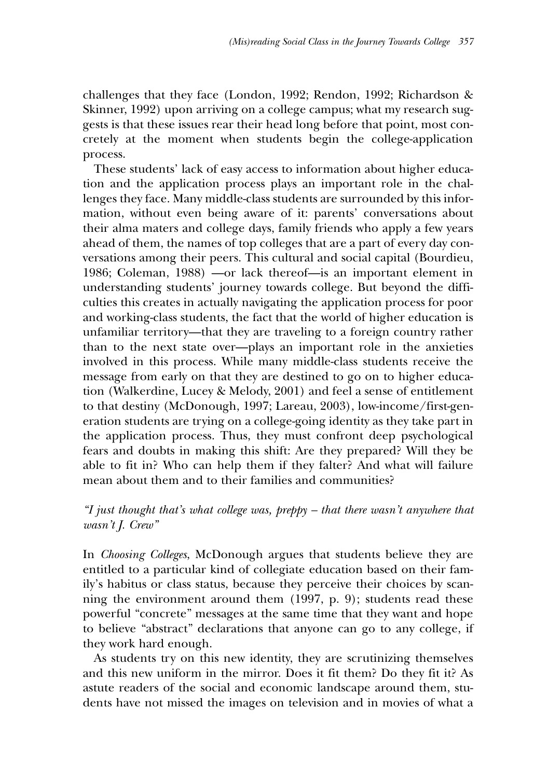challenges that they face (London, 1992; Rendon, 1992; Richardson & Skinner, 1992) upon arriving on a college campus; what my research suggests is that these issues rear their head long before that point, most concretely at the moment when students begin the college-application process.

These students' lack of easy access to information about higher education and the application process plays an important role in the challenges they face. Many middle-class students are surrounded by this information, without even being aware of it: parents' conversations about their alma maters and college days, family friends who apply a few years ahead of them, the names of top colleges that are a part of every day conversations among their peers. This cultural and social capital (Bourdieu, 1986; Coleman, 1988) —or lack thereof—is an important element in understanding students' journey towards college. But beyond the difficulties this creates in actually navigating the application process for poor and working-class students, the fact that the world of higher education is unfamiliar territory—that they are traveling to a foreign country rather than to the next state over—plays an important role in the anxieties involved in this process. While many middle-class students receive the message from early on that they are destined to go on to higher education (Walkerdine, Lucey & Melody, 2001) and feel a sense of entitlement to that destiny (McDonough, 1997; Lareau, 2003), low-income/first-generation students are trying on a college-going identity as they take part in the application process. Thus, they must confront deep psychological fears and doubts in making this shift: Are they prepared? Will they be able to fit in? Who can help them if they falter? And what will failure mean about them and to their families and communities?

# *"I just thought that's what college was, preppy – that there wasn't anywhere that wasn't J. Crew"*

In *Choosing Colleges*, McDonough argues that students believe they are entitled to a particular kind of collegiate education based on their family's habitus or class status, because they perceive their choices by scanning the environment around them (1997, p. 9); students read these powerful "concrete" messages at the same time that they want and hope to believe "abstract" declarations that anyone can go to any college, if they work hard enough.

As students try on this new identity, they are scrutinizing themselves and this new uniform in the mirror. Does it fit them? Do they fit it? As astute readers of the social and economic landscape around them, students have not missed the images on television and in movies of what a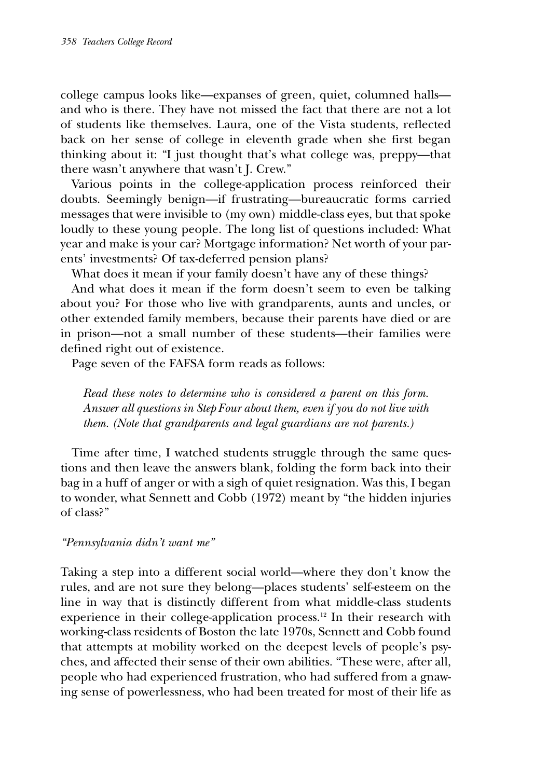college campus looks like—expanses of green, quiet, columned halls and who is there. They have not missed the fact that there are not a lot of students like themselves. Laura, one of the Vista students, reflected back on her sense of college in eleventh grade when she first began thinking about it: "I just thought that's what college was, preppy—that there wasn't anywhere that wasn't J. Crew."

Various points in the college-application process reinforced their doubts. Seemingly benign—if frustrating—bureaucratic forms carried messages that were invisible to (my own) middle-class eyes, but that spoke loudly to these young people. The long list of questions included: What year and make is your car? Mortgage information? Net worth of your parents' investments? Of tax-deferred pension plans?

What does it mean if your family doesn't have any of these things?

And what does it mean if the form doesn't seem to even be talking about you? For those who live with grandparents, aunts and uncles, or other extended family members, because their parents have died or are in prison—not a small number of these students—their families were defined right out of existence.

Page seven of the FAFSA form reads as follows:

*Read these notes to determine who is considered a parent on this form. Answer all questions in Step Four about them, even if you do not live with them. (Note that grandparents and legal guardians are not parents.)*

Time after time, I watched students struggle through the same questions and then leave the answers blank, folding the form back into their bag in a huff of anger or with a sigh of quiet resignation. Was this, I began to wonder, what Sennett and Cobb (1972) meant by "the hidden injuries of class?"

## *"Pennsylvania didn't want me"*

Taking a step into a different social world—where they don't know the rules, and are not sure they belong—places students' self-esteem on the line in way that is distinctly different from what middle-class students experience in their college-application process.<sup>12</sup> In their research with working-class residents of Boston the late 1970s, Sennett and Cobb found that attempts at mobility worked on the deepest levels of people's psyches, and affected their sense of their own abilities. "These were, after all, people who had experienced frustration, who had suffered from a gnawing sense of powerlessness, who had been treated for most of their life as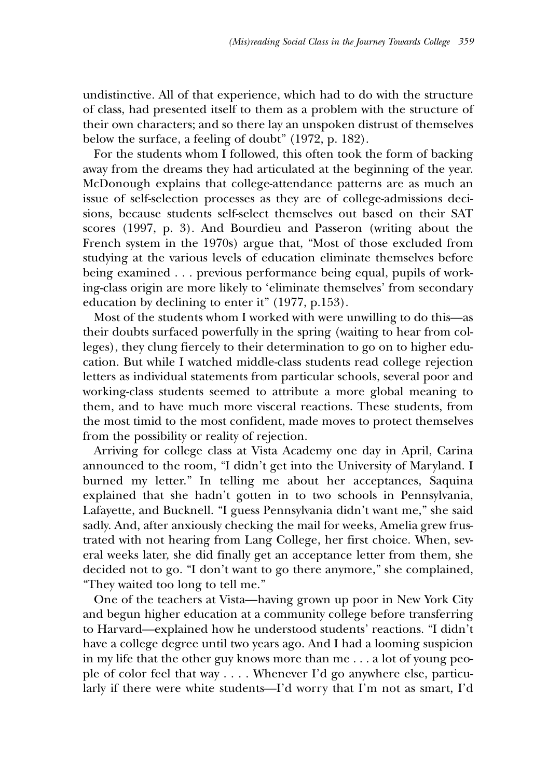undistinctive. All of that experience, which had to do with the structure of class, had presented itself to them as a problem with the structure of their own characters; and so there lay an unspoken distrust of themselves below the surface, a feeling of doubt" (1972, p. 182).

For the students whom I followed, this often took the form of backing away from the dreams they had articulated at the beginning of the year. McDonough explains that college-attendance patterns are as much an issue of self-selection processes as they are of college-admissions decisions, because students self-select themselves out based on their SAT scores (1997, p. 3). And Bourdieu and Passeron (writing about the French system in the 1970s) argue that, "Most of those excluded from studying at the various levels of education eliminate themselves before being examined . . . previous performance being equal, pupils of working-class origin are more likely to 'eliminate themselves' from secondary education by declining to enter it" (1977, p.153).

Most of the students whom I worked with were unwilling to do this—as their doubts surfaced powerfully in the spring (waiting to hear from colleges), they clung fiercely to their determination to go on to higher education. But while I watched middle-class students read college rejection letters as individual statements from particular schools, several poor and working-class students seemed to attribute a more global meaning to them, and to have much more visceral reactions. These students, from the most timid to the most confident, made moves to protect themselves from the possibility or reality of rejection.

Arriving for college class at Vista Academy one day in April, Carina announced to the room, "I didn't get into the University of Maryland. I burned my letter." In telling me about her acceptances, Saquina explained that she hadn't gotten in to two schools in Pennsylvania, Lafayette, and Bucknell. "I guess Pennsylvania didn't want me," she said sadly. And, after anxiously checking the mail for weeks, Amelia grew frustrated with not hearing from Lang College, her first choice. When, several weeks later, she did finally get an acceptance letter from them, she decided not to go. "I don't want to go there anymore," she complained, "They waited too long to tell me."

One of the teachers at Vista—having grown up poor in New York City and begun higher education at a community college before transferring to Harvard—explained how he understood students' reactions. "I didn't have a college degree until two years ago. And I had a looming suspicion in my life that the other guy knows more than me . . . a lot of young people of color feel that way . . . . Whenever I'd go anywhere else, particularly if there were white students—I'd worry that I'm not as smart, I'd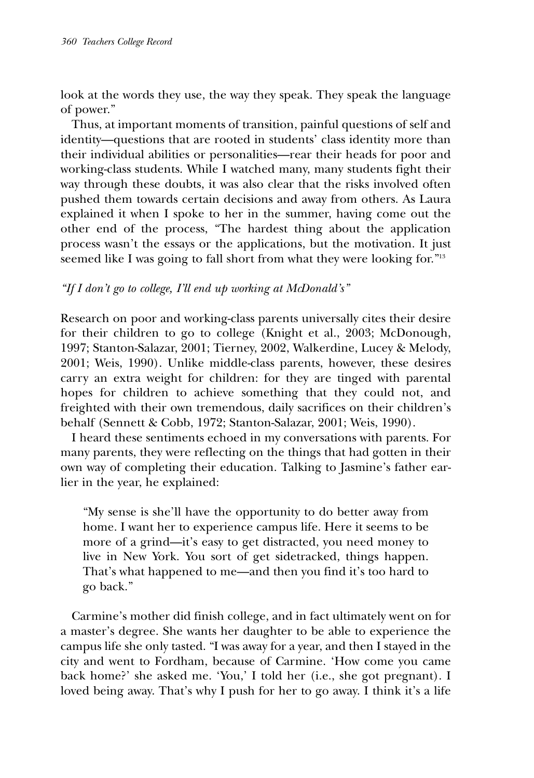look at the words they use, the way they speak. They speak the language of power."

Thus, at important moments of transition, painful questions of self and identity—questions that are rooted in students' class identity more than their individual abilities or personalities—rear their heads for poor and working-class students. While I watched many, many students fight their way through these doubts, it was also clear that the risks involved often pushed them towards certain decisions and away from others. As Laura explained it when I spoke to her in the summer, having come out the other end of the process, "The hardest thing about the application process wasn't the essays or the applications, but the motivation. It just seemed like I was going to fall short from what they were looking for."<sup>13</sup>

## *"If I don't go to college, I'll end up working at McDonald's"*

Research on poor and working-class parents universally cites their desire for their children to go to college (Knight et al., 2003; McDonough, 1997; Stanton-Salazar, 2001; Tierney, 2002, Walkerdine, Lucey & Melody, 2001; Weis, 1990). Unlike middle-class parents, however, these desires carry an extra weight for children: for they are tinged with parental hopes for children to achieve something that they could not, and freighted with their own tremendous, daily sacrifices on their children's behalf (Sennett & Cobb, 1972; Stanton-Salazar, 2001; Weis, 1990).

I heard these sentiments echoed in my conversations with parents. For many parents, they were reflecting on the things that had gotten in their own way of completing their education. Talking to Jasmine's father earlier in the year, he explained:

"My sense is she'll have the opportunity to do better away from home. I want her to experience campus life. Here it seems to be more of a grind—it's easy to get distracted, you need money to live in New York. You sort of get sidetracked, things happen. That's what happened to me—and then you find it's too hard to go back."

Carmine's mother did finish college, and in fact ultimately went on for a master's degree. She wants her daughter to be able to experience the campus life she only tasted. "I was away for a year, and then I stayed in the city and went to Fordham, because of Carmine. 'How come you came back home?' she asked me. 'You,' I told her (i.e., she got pregnant). I loved being away. That's why I push for her to go away. I think it's a life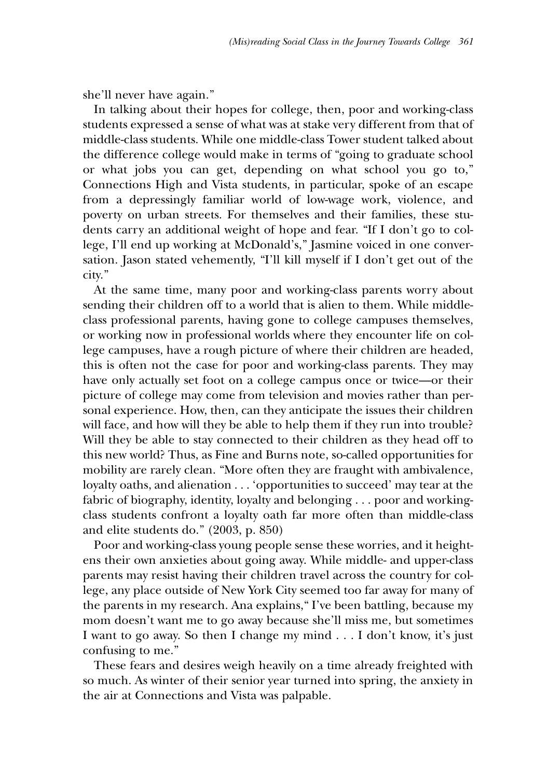she'll never have again."

In talking about their hopes for college, then, poor and working-class students expressed a sense of what was at stake very different from that of middle-class students. While one middle-class Tower student talked about the difference college would make in terms of "going to graduate school or what jobs you can get, depending on what school you go to," Connections High and Vista students, in particular, spoke of an escape from a depressingly familiar world of low-wage work, violence, and poverty on urban streets. For themselves and their families, these students carry an additional weight of hope and fear. "If I don't go to college, I'll end up working at McDonald's," Jasmine voiced in one conversation. Jason stated vehemently, "I'll kill myself if I don't get out of the city."

At the same time, many poor and working-class parents worry about sending their children off to a world that is alien to them. While middleclass professional parents, having gone to college campuses themselves, or working now in professional worlds where they encounter life on college campuses, have a rough picture of where their children are headed, this is often not the case for poor and working-class parents. They may have only actually set foot on a college campus once or twice—or their picture of college may come from television and movies rather than personal experience. How, then, can they anticipate the issues their children will face, and how will they be able to help them if they run into trouble? Will they be able to stay connected to their children as they head off to this new world? Thus, as Fine and Burns note, so-called opportunities for mobility are rarely clean. "More often they are fraught with ambivalence, loyalty oaths, and alienation . . . 'opportunities to succeed' may tear at the fabric of biography, identity, loyalty and belonging . . . poor and workingclass students confront a loyalty oath far more often than middle-class and elite students do." (2003, p. 850)

Poor and working-class young people sense these worries, and it heightens their own anxieties about going away. While middle- and upper-class parents may resist having their children travel across the country for college, any place outside of New York City seemed too far away for many of the parents in my research. Ana explains," I've been battling, because my mom doesn't want me to go away because she'll miss me, but sometimes I want to go away. So then I change my mind . . . I don't know, it's just confusing to me."

These fears and desires weigh heavily on a time already freighted with so much. As winter of their senior year turned into spring, the anxiety in the air at Connections and Vista was palpable.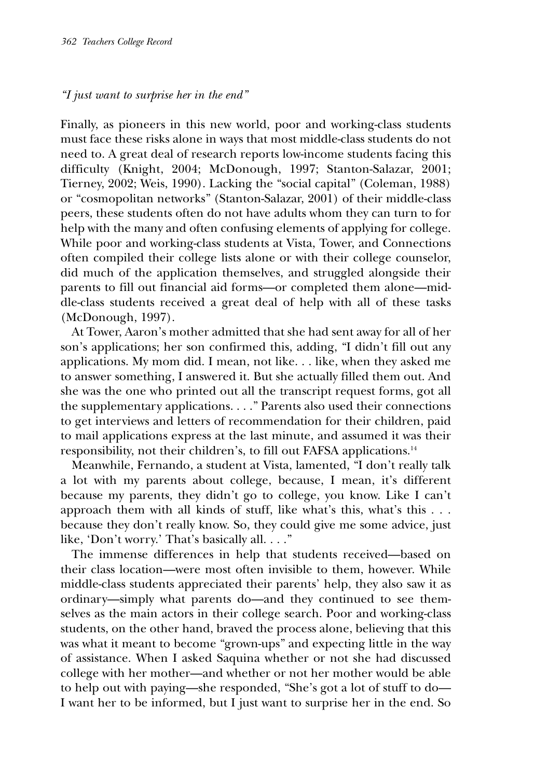## *"I just want to surprise her in the end"*

Finally, as pioneers in this new world, poor and working-class students must face these risks alone in ways that most middle-class students do not need to. A great deal of research reports low-income students facing this difficulty (Knight, 2004; McDonough, 1997; Stanton-Salazar, 2001; Tierney, 2002; Weis, 1990). Lacking the "social capital" (Coleman, 1988) or "cosmopolitan networks" (Stanton-Salazar, 2001) of their middle-class peers, these students often do not have adults whom they can turn to for help with the many and often confusing elements of applying for college. While poor and working-class students at Vista, Tower, and Connections often compiled their college lists alone or with their college counselor, did much of the application themselves, and struggled alongside their parents to fill out financial aid forms—or completed them alone—middle-class students received a great deal of help with all of these tasks (McDonough, 1997).

At Tower, Aaron's mother admitted that she had sent away for all of her son's applications; her son confirmed this, adding, "I didn't fill out any applications. My mom did. I mean, not like. . . like, when they asked me to answer something, I answered it. But she actually filled them out. And she was the one who printed out all the transcript request forms, got all the supplementary applications. . . ." Parents also used their connections to get interviews and letters of recommendation for their children, paid to mail applications express at the last minute, and assumed it was their responsibility, not their children's, to fill out FAFSA applications.14

Meanwhile, Fernando, a student at Vista, lamented, "I don't really talk a lot with my parents about college, because, I mean, it's different because my parents, they didn't go to college, you know. Like I can't approach them with all kinds of stuff, like what's this, what's this . . . because they don't really know. So, they could give me some advice, just like, 'Don't worry.' That's basically all. . . ."

The immense differences in help that students received—based on their class location—were most often invisible to them, however. While middle-class students appreciated their parents' help, they also saw it as ordinary—simply what parents do—and they continued to see themselves as the main actors in their college search. Poor and working-class students, on the other hand, braved the process alone, believing that this was what it meant to become "grown-ups" and expecting little in the way of assistance. When I asked Saquina whether or not she had discussed college with her mother—and whether or not her mother would be able to help out with paying—she responded, "She's got a lot of stuff to do— I want her to be informed, but I just want to surprise her in the end. So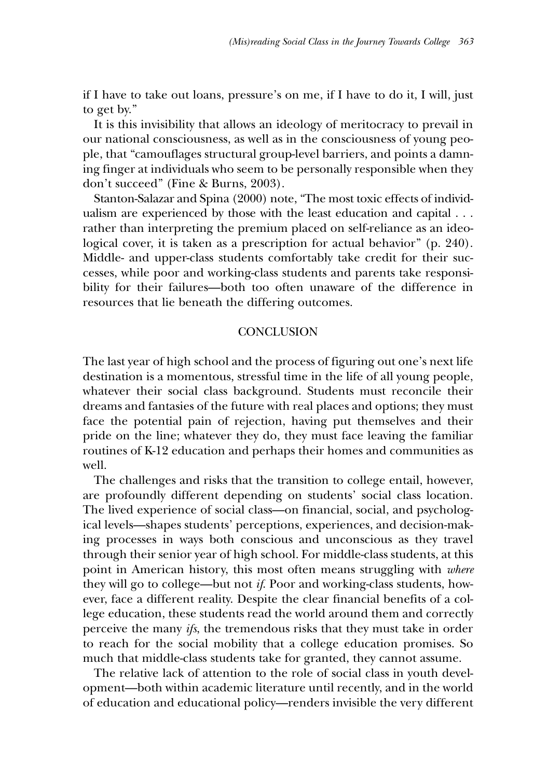if I have to take out loans, pressure's on me, if I have to do it, I will, just to get by."

It is this invisibility that allows an ideology of meritocracy to prevail in our national consciousness, as well as in the consciousness of young people, that "camouflages structural group-level barriers, and points a damning finger at individuals who seem to be personally responsible when they don't succeed" (Fine & Burns, 2003).

Stanton-Salazar and Spina (2000) note, "The most toxic effects of individualism are experienced by those with the least education and capital . . . rather than interpreting the premium placed on self-reliance as an ideological cover, it is taken as a prescription for actual behavior" (p. 240). Middle- and upper-class students comfortably take credit for their successes, while poor and working-class students and parents take responsibility for their failures—both too often unaware of the difference in resources that lie beneath the differing outcomes.

### **CONCLUSION**

The last year of high school and the process of figuring out one's next life destination is a momentous, stressful time in the life of all young people, whatever their social class background. Students must reconcile their dreams and fantasies of the future with real places and options; they must face the potential pain of rejection, having put themselves and their pride on the line; whatever they do, they must face leaving the familiar routines of K-12 education and perhaps their homes and communities as well.

The challenges and risks that the transition to college entail, however, are profoundly different depending on students' social class location. The lived experience of social class—on financial, social, and psychological levels—shapes students' perceptions, experiences, and decision-making processes in ways both conscious and unconscious as they travel through their senior year of high school. For middle-class students, at this point in American history, this most often means struggling with *where* they will go to college—but not *if*. Poor and working-class students, however, face a different reality. Despite the clear financial benefits of a college education, these students read the world around them and correctly perceive the many *ifs*, the tremendous risks that they must take in order to reach for the social mobility that a college education promises. So much that middle-class students take for granted, they cannot assume.

The relative lack of attention to the role of social class in youth development—both within academic literature until recently, and in the world of education and educational policy—renders invisible the very different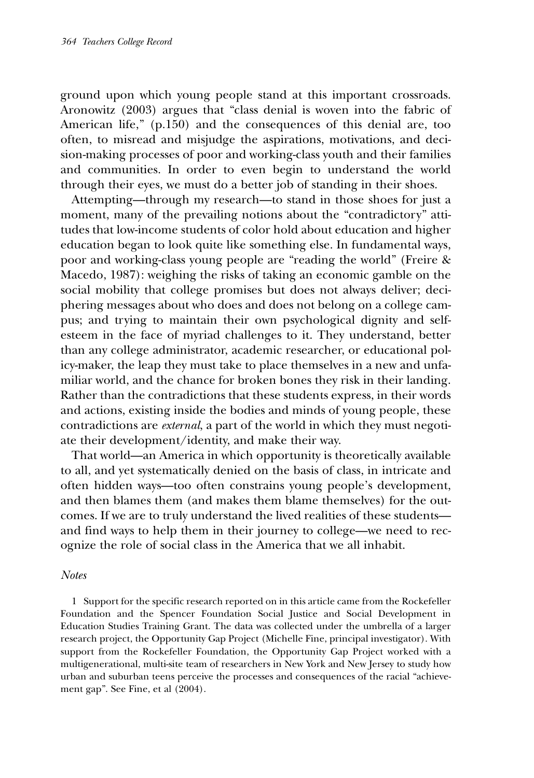ground upon which young people stand at this important crossroads. Aronowitz (2003) argues that "class denial is woven into the fabric of American life," (p.150) and the consequences of this denial are, too often, to misread and misjudge the aspirations, motivations, and decision-making processes of poor and working-class youth and their families and communities. In order to even begin to understand the world through their eyes, we must do a better job of standing in their shoes.

Attempting—through my research—to stand in those shoes for just a moment, many of the prevailing notions about the "contradictory" attitudes that low-income students of color hold about education and higher education began to look quite like something else. In fundamental ways, poor and working-class young people are "reading the world" (Freire & Macedo, 1987): weighing the risks of taking an economic gamble on the social mobility that college promises but does not always deliver; deciphering messages about who does and does not belong on a college campus; and trying to maintain their own psychological dignity and selfesteem in the face of myriad challenges to it. They understand, better than any college administrator, academic researcher, or educational policy-maker, the leap they must take to place themselves in a new and unfamiliar world, and the chance for broken bones they risk in their landing. Rather than the contradictions that these students express, in their words and actions, existing inside the bodies and minds of young people, these contradictions are *external*, a part of the world in which they must negotiate their development/identity, and make their way.

That world—an America in which opportunity is theoretically available to all, and yet systematically denied on the basis of class, in intricate and often hidden ways—too often constrains young people's development, and then blames them (and makes them blame themselves) for the outcomes. If we are to truly understand the lived realities of these students and find ways to help them in their journey to college—we need to recognize the role of social class in the America that we all inhabit.

#### *Notes*

1 Support for the specific research reported on in this article came from the Rockefeller Foundation and the Spencer Foundation Social Justice and Social Development in Education Studies Training Grant. The data was collected under the umbrella of a larger research project, the Opportunity Gap Project (Michelle Fine, principal investigator). With support from the Rockefeller Foundation, the Opportunity Gap Project worked with a multigenerational, multi-site team of researchers in New York and New Jersey to study how urban and suburban teens perceive the processes and consequences of the racial "achievement gap". See Fine, et al (2004).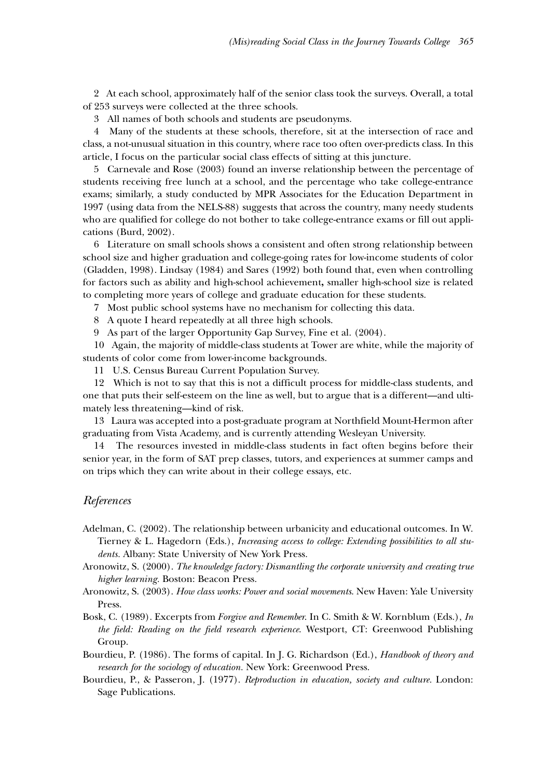2 At each school, approximately half of the senior class took the surveys. Overall, a total of 253 surveys were collected at the three schools.

3 All names of both schools and students are pseudonyms.

4 Many of the students at these schools, therefore, sit at the intersection of race and class, a not-unusual situation in this country, where race too often over-predicts class. In this article, I focus on the particular social class effects of sitting at this juncture.

5 Carnevale and Rose (2003) found an inverse relationship between the percentage of students receiving free lunch at a school, and the percentage who take college-entrance exams; similarly, a study conducted by MPR Associates for the Education Department in 1997 (using data from the NELS-88) suggests that across the country, many needy students who are qualified for college do not bother to take college-entrance exams or fill out applications (Burd, 2002).

6 Literature on small schools shows a consistent and often strong relationship between school size and higher graduation and college-going rates for low-income students of color (Gladden, 1998). Lindsay (1984) and Sares (1992) both found that, even when controlling for factors such as ability and high-school achievement**,** smaller high-school size is related to completing more years of college and graduate education for these students.

7 Most public school systems have no mechanism for collecting this data.

8 A quote I heard repeatedly at all three high schools.

9 As part of the larger Opportunity Gap Survey, Fine et al. (2004).

10 Again, the majority of middle-class students at Tower are white, while the majority of students of color come from lower-income backgrounds.

11 U.S. Census Bureau Current Population Survey.

12 Which is not to say that this is not a difficult process for middle-class students, and one that puts their self-esteem on the line as well, but to argue that is a different—and ultimately less threatening—kind of risk.

13 Laura was accepted into a post-graduate program at Northfield Mount-Hermon after graduating from Vista Academy, and is currently attending Wesleyan University.

14 The resources invested in middle-class students in fact often begins before their senior year, in the form of SAT prep classes, tutors, and experiences at summer camps and on trips which they can write about in their college essays, etc.

#### *References*

Adelman, C. (2002). The relationship between urbanicity and educational outcomes. In W. Tierney & L. Hagedorn (Eds.), *Increasing access to college: Extending possibilities to all students.* Albany: State University of New York Press.

Aronowitz, S. (2000). *The knowledge factory: Dismantling the corporate university and creating true higher learning.* Boston: Beacon Press.

Aronowitz, S. (2003). *How class works: Power and social movements*. New Haven: Yale University Press.

Bosk, C. (1989). Excerpts from *Forgive and Remember*. In C. Smith & W. Kornblum (Eds.), *In the field: Reading on the field research experience*. Westport, CT: Greenwood Publishing Group.

Bourdieu, P. (1986). The forms of capital. In J. G. Richardson (Ed.), *Handbook of theory and research for the sociology of education.* New York: Greenwood Press.

Bourdieu, P., & Passeron, J. (1977). *Reproduction in education, society and culture.* London: Sage Publications.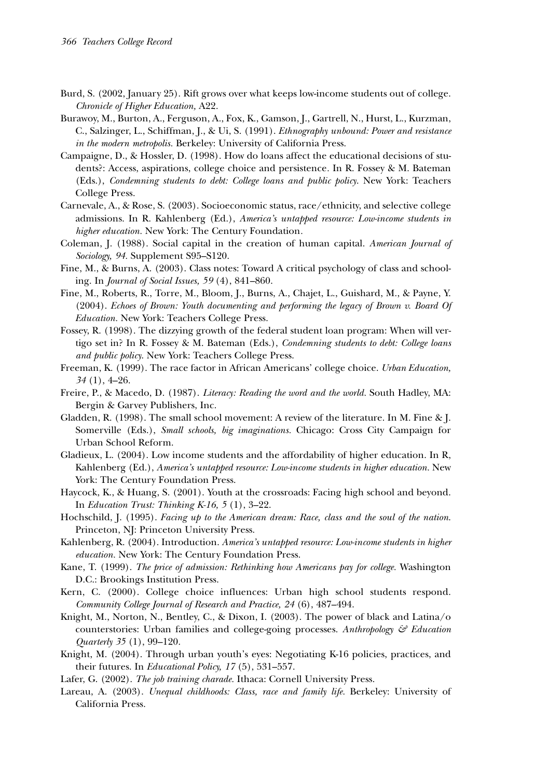- Burd, S. (2002, January 25). Rift grows over what keeps low-income students out of college. *Chronicle of Higher Education,* A22.
- Burawoy, M., Burton, A., Ferguson, A., Fox, K., Gamson, J., Gartrell, N., Hurst, L., Kurzman, C., Salzinger, L., Schiffman, J., & Ui, S. (1991). *Ethnography unbound: Power and resistance in the modern metropolis.* Berkeley: University of California Press.
- Campaigne, D., & Hossler, D. (1998). How do loans affect the educational decisions of students?: Access, aspirations, college choice and persistence*.* In R. Fossey & M. Bateman (Eds.), *Condemning students to debt: College loans and public policy*. New York: Teachers College Press.
- Carnevale, A., & Rose, S. (2003). Socioeconomic status, race/ethnicity, and selective college admissions. In R. Kahlenberg (Ed.), *America's untapped resource: Low-income students in higher education.* New York: The Century Foundation*.*
- Coleman, J. (1988). Social capital in the creation of human capital. *American Journal of Sociology, 94.* Supplement S95–S120.
- Fine, M., & Burns, A. (2003). Class notes: Toward A critical psychology of class and schooling. In *Journal of Social Issues, 59* (4), 841–860.
- Fine, M., Roberts, R., Torre, M., Bloom, J., Burns, A., Chajet, L., Guishard, M., & Payne, Y. (2004). *Echoes of Brown: Youth documenting and performing the legacy of Brown v. Board Of Education.* New York: Teachers College Press.
- Fossey, R. (1998). The dizzying growth of the federal student loan program: When will vertigo set in? In R. Fossey & M. Bateman (Eds.), *Condemning students to debt: College loans and public policy*. New York: Teachers College Press.
- Freeman, K. (1999). The race factor in African Americans' college choice. *Urban Education, 34* (1), 4–26.
- Freire, P., & Macedo, D. (1987). *Literacy: Reading the word and the world.* South Hadley, MA: Bergin & Garvey Publishers, Inc.
- Gladden, R. (1998). The small school movement: A review of the literature. In M. Fine & J. Somerville (Eds.), *Small schools, big imaginations.* Chicago: Cross City Campaign for Urban School Reform.
- Gladieux, L. (2004). Low income students and the affordability of higher education. In R, Kahlenberg (Ed.), *America's untapped resource: Low-income students in higher education*. New York: The Century Foundation Press.
- Haycock, K., & Huang, S. (2001). Youth at the crossroads: Facing high school and beyond. In *Education Trust: Thinking K-16, 5* (1), 3–22.
- Hochschild, J. (1995). *Facing up to the American dream: Race, class and the soul of the nation*. Princeton, NJ: Princeton University Press.
- Kahlenberg, R. (2004). Introduction. *America's untapped resource: Low-income students in higher education.* New York: The Century Foundation Press.
- Kane, T. (1999). *The price of admission: Rethinking how Americans pay for college.* Washington D.C.: Brookings Institution Press.
- Kern, C. (2000). College choice influences: Urban high school students respond. *Community College Journal of Research and Practice, 24* (6), 487–494.
- Knight, M., Norton, N., Bentley, C., & Dixon, I. (2003). The power of black and Latina/o counterstories: Urban families and college-going processes. *Anthropology & Education Quarterly 35* (1), 99–120.
- Knight, M. (2004). Through urban youth's eyes: Negotiating K-16 policies, practices, and their futures. In *Educational Policy, 17* (5), 531–557.
- Lafer, G. (2002). *The job training charade.* Ithaca: Cornell University Press.
- Lareau, A. (2003). *Unequal childhoods: Class, race and family life.* Berkeley: University of California Press.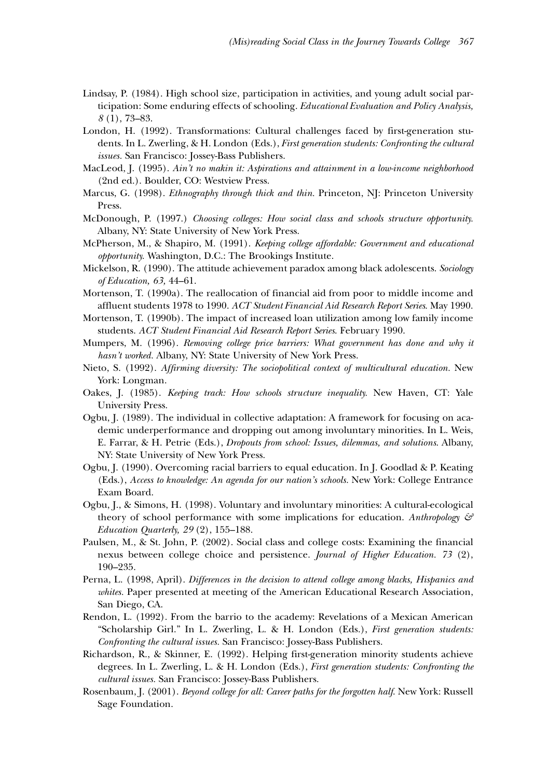- Lindsay, P. (1984). High school size, participation in activities, and young adult social participation: Some enduring effects of schooling. *Educational Evaluation and Policy Analysis, 8* (1), 73–83.
- London, H. (1992). Transformations: Cultural challenges faced by first-generation students. In L. Zwerling, & H. London (Eds.), *First generation students: Confronting the cultural issues.* San Francisco: Jossey-Bass Publishers.
- MacLeod, J. (1995). *Ain't no makin it: Aspirations and attainment in a low-income neighborhood* (2nd ed.). Boulder, CO: Westview Press.
- Marcus, G. (1998). *Ethnography through thick and thin.* Princeton, NJ: Princeton University Press.
- McDonough, P. (1997.) *Choosing colleges: How social class and schools structure opportunity.* Albany, NY: State University of New York Press.
- McPherson, M., & Shapiro, M. (1991). *Keeping college affordable: Government and educational opportunity.* Washington, D.C.: The Brookings Institute.
- Mickelson, R. (1990). The attitude achievement paradox among black adolescents. *Sociology of Education, 63,* 44–61.
- Mortenson, T. (1990a). The reallocation of financial aid from poor to middle income and affluent students 1978 to 1990. *ACT Student Financial Aid Research Report Series*. May 1990.
- Mortenson, T. (1990b). The impact of increased loan utilization among low family income students. *ACT Student Financial Aid Research Report Series*. February 1990.
- Mumpers, M. (1996). *Removing college price barriers: What government has done and why it hasn't worked.* Albany, NY: State University of New York Press.
- Nieto, S. (1992). *Affirming diversity: The sociopolitical context of multicultural education.* New York: Longman.
- Oakes, J. (1985). *Keeping track: How schools structure inequality.* New Haven, CT: Yale University Press.
- Ogbu, J. (1989). The individual in collective adaptation: A framework for focusing on academic underperformance and dropping out among involuntary minorities. In L. Weis, E. Farrar, & H. Petrie (Eds.), *Dropouts from school: Issues, dilemmas, and solutions*. Albany, NY: State University of New York Press.
- Ogbu, J. (1990). Overcoming racial barriers to equal education. In J. Goodlad & P. Keating (Eds.), *Access to knowledge: An agenda for our nation's schools.* New York: College Entrance Exam Board.
- Ogbu, J., & Simons, H. (1998). Voluntary and involuntary minorities: A cultural-ecological theory of school performance with some implications for education. *Anthropology & Education Quarterly, 29* (2), 155–188.
- Paulsen, M., & St. John, P. (2002). Social class and college costs: Examining the financial nexus between college choice and persistence. *Journal of Higher Education. 73* (2), 190–235.
- Perna, L. (1998, April). *Differences in the decision to attend college among blacks, Hispanics and whites.* Paper presented at meeting of the American Educational Research Association, San Diego, CA.
- Rendon, L. (1992). From the barrio to the academy: Revelations of a Mexican American "Scholarship Girl." In L. Zwerling, L. & H. London (Eds.), *First generation students: Confronting the cultural issues.* San Francisco: Jossey-Bass Publishers.
- Richardson, R., & Skinner, E. (1992). Helping first-generation minority students achieve degrees. In L. Zwerling, L. & H. London (Eds.), *First generation students: Confronting the cultural issues.* San Francisco: Jossey-Bass Publishers.
- Rosenbaum, J. (2001). *Beyond college for all: Career paths for the forgotten half*. New York: Russell Sage Foundation.